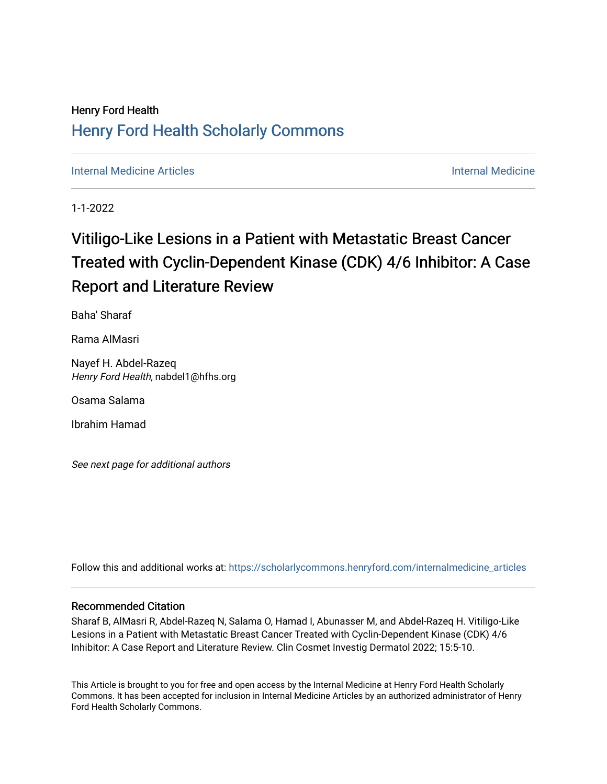## Henry Ford Health [Henry Ford Health Scholarly Commons](https://scholarlycommons.henryford.com/)

[Internal Medicine Articles](https://scholarlycommons.henryford.com/internalmedicine_articles) **Internal Medicine** 

1-1-2022

# Vitiligo-Like Lesions in a Patient with Metastatic Breast Cancer Treated with Cyclin-Dependent Kinase (CDK) 4/6 Inhibitor: A Case Report and Literature Review

Baha' Sharaf

Rama AlMasri

Nayef H. Abdel-Razeq Henry Ford Health, nabdel1@hfhs.org

Osama Salama

Ibrahim Hamad

See next page for additional authors

Follow this and additional works at: [https://scholarlycommons.henryford.com/internalmedicine\\_articles](https://scholarlycommons.henryford.com/internalmedicine_articles?utm_source=scholarlycommons.henryford.com%2Finternalmedicine_articles%2F343&utm_medium=PDF&utm_campaign=PDFCoverPages)

#### Recommended Citation

Sharaf B, AlMasri R, Abdel-Razeq N, Salama O, Hamad I, Abunasser M, and Abdel-Razeq H. Vitiligo-Like Lesions in a Patient with Metastatic Breast Cancer Treated with Cyclin-Dependent Kinase (CDK) 4/6 Inhibitor: A Case Report and Literature Review. Clin Cosmet Investig Dermatol 2022; 15:5-10.

This Article is brought to you for free and open access by the Internal Medicine at Henry Ford Health Scholarly Commons. It has been accepted for inclusion in Internal Medicine Articles by an authorized administrator of Henry Ford Health Scholarly Commons.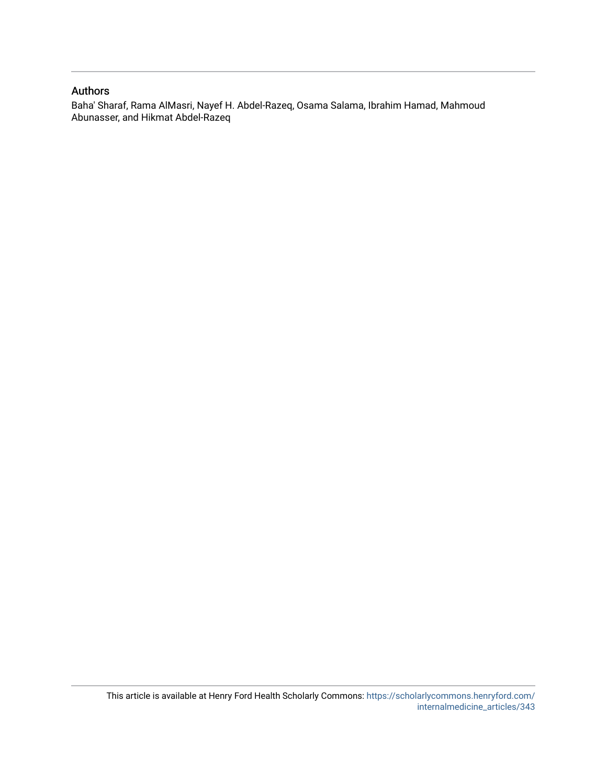#### Authors

Baha' Sharaf, Rama AlMasri, Nayef H. Abdel-Razeq, Osama Salama, Ibrahim Hamad, Mahmoud Abunasser, and Hikmat Abdel-Razeq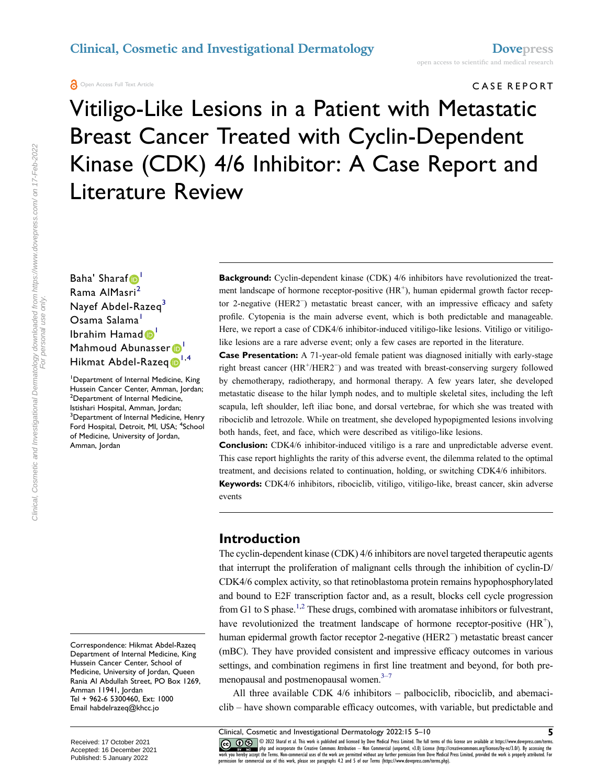#### Open Access Full Text Article

CASE REPORT

Vitiligo-Like Lesions in a Patient with Metastatic Breast Cancer Treated with Cyclin-Dependent Kinase (CDK) 4/6 Inhibitor: A Case Report and Literature Review

Baha' Sharaf<sup>o'</sup> Rama AlMasri<sup>2</sup> Nayef Abdel-Razeq<sup>3</sup> Osama Salama<sup>1</sup> Ibrahim Hamad <sup>1</sup> Mahmoud Abunasser<sup>1</sup> Hikmat Abdel-Razeq<sup>1,4</sup>

1 Department of Internal Medicine, King Hussein Cancer Center, Amman, Jordan; <sup>2</sup>Department of Internal Medicine, Istishari Hospital, Amman, Jordan; <sup>3</sup> Department of Internal Medicine, Henry Ford Hospital, Detroit, MI, USA; <sup>4</sup>School of Medicine, University of Jordan, Amman, Jordan

Correspondence: Hikmat Abdel-Razeq Department of Internal Medicine, King Hussein Cancer Center, School of Medicine, University of Jordan, Queen Rania Al Abdullah Street, PO Box 1269, Amman 11941, Jordan Tel + 962-6 5300460, Ext: 1000 Email habdelrazeq@khcc.jo

**Background:** Cyclin-dependent kinase (CDK) 4/6 inhibitors have revolutionized the treatment landscape of hormone receptor-positive (HR<sup>+</sup>), human epidermal growth factor receptor 2-negative (HER2− ) metastatic breast cancer, with an impressive efficacy and safety profile. Cytopenia is the main adverse event, which is both predictable and manageable. Here, we report a case of CDK4/6 inhibitor-induced vitiligo-like lesions. Vitiligo or vitiligolike lesions are a rare adverse event; only a few cases are reported in the literature.

**Case Presentation:** A 71-year-old female patient was diagnosed initially with early-stage right breast cancer (HR<sup>+</sup>/HER2<sup>−</sup>) and was treated with breast-conserving surgery followed by chemotherapy, radiotherapy, and hormonal therapy. A few years later, she developed metastatic disease to the hilar lymph nodes, and to multiple skeletal sites, including the left scapula, left shoulder, left iliac bone, and dorsal vertebrae, for which she was treated with ribociclib and letrozole. While on treatment, she developed hypopigmented lesions involving both hands, feet, and face, which were described as vitiligo-like lesions.

**Conclusion:** CDK4/6 inhibitor-induced vitiligo is a rare and unpredictable adverse event. This case report highlights the rarity of this adverse event, the dilemma related to the optimal treatment, and decisions related to continuation, holding, or switching CDK4/6 inhibitors.

**Keywords:** CDK4/6 inhibitors, ribociclib, vitiligo, vitiligo-like, breast cancer, skin adverse events

#### **Introduction**

The cyclin-dependent kinase (CDK) 4/6 inhibitors are novel targeted therapeutic agents that interrupt the proliferation of malignant cells through the inhibition of cyclin-D/ CDK4/6 complex activity, so that retinoblastoma protein remains hypophosphorylated and bound to E2F transcription factor and, as a result, blocks cell cycle progression from G1 to S phase.<sup>1,2</sup> These drugs, combined with aromatase inhibitors or fulvestrant, have revolutionized the treatment landscape of hormone receptor-positive  $(HR^{+})$ , human epidermal growth factor receptor 2-negative (HER2− ) metastatic breast cancer (mBC). They have provided consistent and impressive efficacy outcomes in various settings, and combination regimens in first line treatment and beyond, for both premenopausal and postmenopausal women. $3-7$ 

All three available CDK 4/6 inhibitors – palbociclib, ribociclib, and abemaciclib – have shown comparable efficacy outcomes, with variable, but predictable and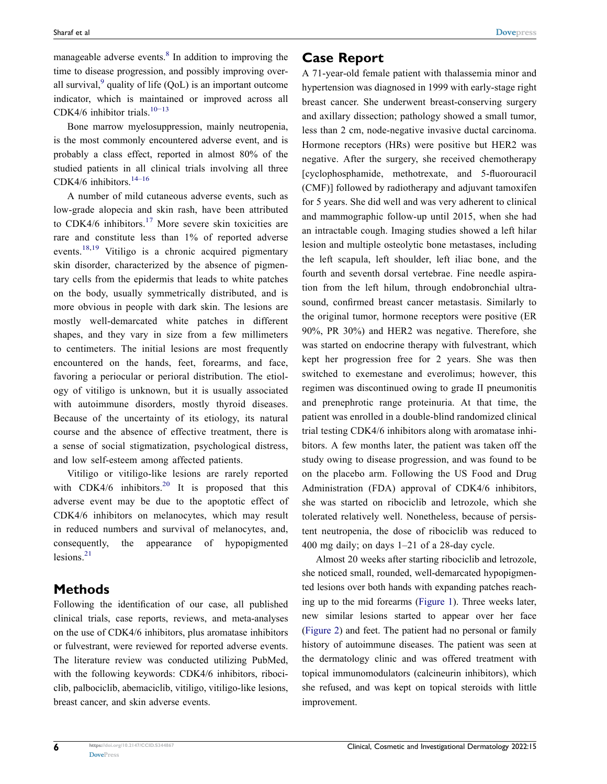manageable adverse events. $8 \text{ In addition to improving the}$ time to disease progression, and possibly improving overall survival, $9$  quality of life (QoL) is an important outcome indicator, which is maintained or improved across all CDK4/6 inhibitor trials.10−13

Bone marrow myelosuppression, mainly neutropenia, is the most commonly encountered adverse event, and is probably a class effect, reported in almost 80% of the studied patients in all clinical trials involving all three CDK4/6 inhibitors.<sup>14-16</sup>

A number of mild cutaneous adverse events, such as low-grade alopecia and skin rash, have been attributed to CDK4/6 inhibitors.<sup>17</sup> More severe skin toxicities are rare and constitute less than 1% of reported adverse events.<sup>18,19</sup> Vitiligo is a chronic acquired pigmentary skin disorder, characterized by the absence of pigmentary cells from the epidermis that leads to white patches on the body, usually symmetrically distributed, and is more obvious in people with dark skin. The lesions are mostly well-demarcated white patches in different shapes, and they vary in size from a few millimeters to centimeters. The initial lesions are most frequently encountered on the hands, feet, forearms, and face, favoring a periocular or perioral distribution. The etiology of vitiligo is unknown, but it is usually associated with autoimmune disorders, mostly thyroid diseases. Because of the uncertainty of its etiology, its natural course and the absence of effective treatment, there is a sense of social stigmatization, psychological distress, and low self-esteem among affected patients.

Vitiligo or vitiligo-like lesions are rarely reported with CDK4/6 inhibitors.<sup>20</sup> It is proposed that this adverse event may be due to the apoptotic effect of CDK4/6 inhibitors on melanocytes, which may result in reduced numbers and survival of melanocytes, and, consequently, the appearance of hypopigmented lesions. $21$ 

#### **Methods**

Following the identification of our case, all published clinical trials, case reports, reviews, and meta-analyses on the use of CDK4/6 inhibitors, plus aromatase inhibitors or fulvestrant, were reviewed for reported adverse events. The literature review was conducted utilizing PubMed, with the following keywords: CDK4/6 inhibitors, ribociclib, palbociclib, abemaciclib, vitiligo, vitiligo-like lesions, breast cancer, and skin adverse events.

### **Case Report**

A 71-year-old female patient with thalassemia minor and hypertension was diagnosed in 1999 with early-stage right breast cancer. She underwent breast-conserving surgery and axillary dissection; pathology showed a small tumor, less than 2 cm, node-negative invasive ductal carcinoma. Hormone receptors (HRs) were positive but HER2 was negative. After the surgery, she received chemotherapy [cyclophosphamide, methotrexate, and 5-fluorouracil (CMF)] followed by radiotherapy and adjuvant tamoxifen for 5 years. She did well and was very adherent to clinical and mammographic follow-up until 2015, when she had an intractable cough. Imaging studies showed a left hilar lesion and multiple osteolytic bone metastases, including the left scapula, left shoulder, left iliac bone, and the fourth and seventh dorsal vertebrae. Fine needle aspiration from the left hilum, through endobronchial ultrasound, confirmed breast cancer metastasis. Similarly to the original tumor, hormone receptors were positive (ER 90%, PR 30%) and HER2 was negative. Therefore, she was started on endocrine therapy with fulvestrant, which kept her progression free for 2 years. She was then switched to exemestane and everolimus; however, this regimen was discontinued owing to grade II pneumonitis and prenephrotic range proteinuria. At that time, the patient was enrolled in a double-blind randomized clinical trial testing CDK4/6 inhibitors along with aromatase inhibitors. A few months later, the patient was taken off the study owing to disease progression, and was found to be on the placebo arm. Following the US Food and Drug Administration (FDA) approval of CDK4/6 inhibitors, she was started on ribociclib and letrozole, which she tolerated relatively well. Nonetheless, because of persistent neutropenia, the dose of ribociclib was reduced to 400 mg daily; on days 1–21 of a 28-day cycle.

Almost 20 weeks after starting ribociclib and letrozole, she noticed small, rounded, well-demarcated hypopigmented lesions over both hands with expanding patches reaching up to the mid forearms (Figure 1). Three weeks later, new similar lesions started to appear over her face (Figure 2) and feet. The patient had no personal or family history of autoimmune diseases. The patient was seen at the dermatology clinic and was offered treatment with topical immunomodulators (calcineurin inhibitors), which she refused, and was kept on topical steroids with little improvement.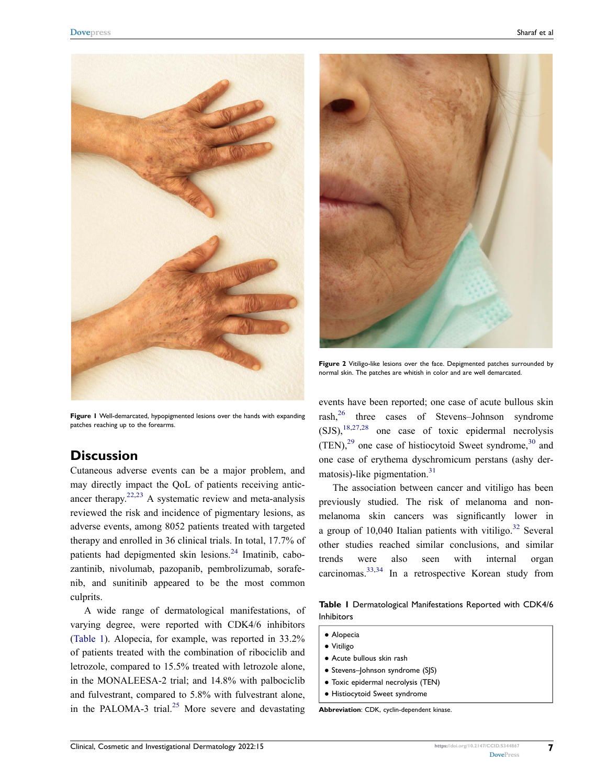

**Figure 1** Well-demarcated, hypopigmented lesions over the hands with expanding patches reaching up to the forearms.

#### **Discussion**

Cutaneous adverse events can be a major problem, and may directly impact the QoL of patients receiving anticancer therapy.<sup>22,23</sup> A systematic review and meta-analysis reviewed the risk and incidence of pigmentary lesions, as adverse events, among 8052 patients treated with targeted therapy and enrolled in 36 clinical trials. In total, 17.7% of patients had depigmented skin lesions.<sup>24</sup> Imatinib, cabozantinib, nivolumab, pazopanib, pembrolizumab, sorafenib, and sunitinib appeared to be the most common culprits.

A wide range of dermatological manifestations, of varying degree, were reported with CDK4/6 inhibitors (Table 1). Alopecia, for example, was reported in 33.2% of patients treated with the combination of ribociclib and letrozole, compared to 15.5% treated with letrozole alone, in the MONALEESA-2 trial; and 14.8% with palbociclib and fulvestrant, compared to 5.8% with fulvestrant alone, in the PALOMA-3 trial.<sup>25</sup> More severe and devastating



**Figure 2** Vitiligo-like lesions over the face. Depigmented patches surrounded by normal skin. The patches are whitish in color and are well demarcated.

events have been reported; one case of acute bullous skin rash,26 three cases of Stevens–Johnson syndrome  $(SJS),$ <sup>18,27,28</sup> one case of toxic epidermal necrolysis  $(TEN)<sup>29</sup>$  one case of histiocytoid Sweet syndrome,<sup>30</sup> and one case of erythema dyschromicum perstans (ashy dermatosis)-like pigmentation. $31$ 

The association between cancer and vitiligo has been previously studied. The risk of melanoma and nonmelanoma skin cancers was significantly lower in a group of  $10,040$  Italian patients with vitiligo.<sup>32</sup> Several other studies reached similar conclusions, and similar trends were also seen with internal organ carcinomas.33,34 In a retrospective Korean study from

**Table 1** Dermatological Manifestations Reported with CDK4/6 Inhibitors

- Alopecia
- Vitiligo
- Acute bullous skin rash
- Stevens–Johnson syndrome (SJS)
- Toxic epidermal necrolysis (TEN)
- Histiocytoid Sweet syndrome

**Abbreviation**: CDK, cyclin-dependent kinase.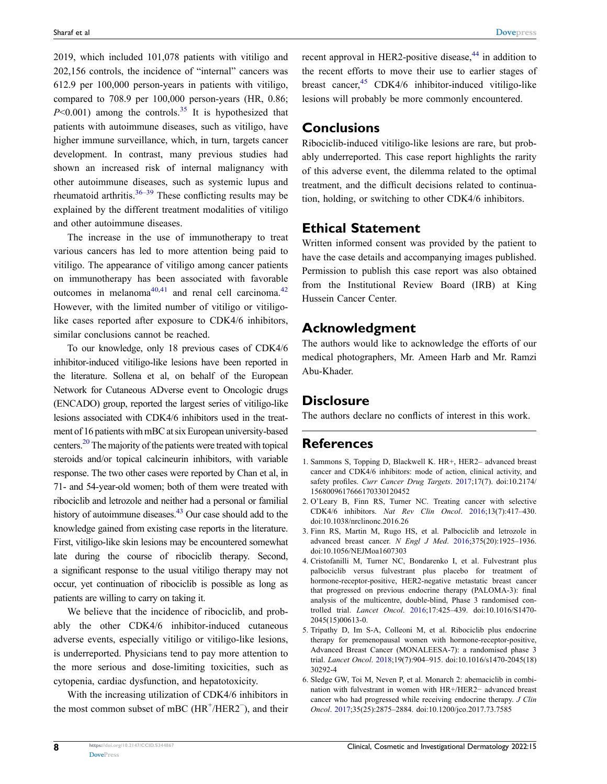2019, which included 101,078 patients with vitiligo and 202,156 controls, the incidence of "internal" cancers was 612.9 per 100,000 person-years in patients with vitiligo, compared to 708.9 per 100,000 person-years (HR, 0.86;  $P \le 0.001$ ) among the controls.<sup>35</sup> It is hypothesized that patients with autoimmune diseases, such as vitiligo, have higher immune surveillance, which, in turn, targets cancer development. In contrast, many previous studies had shown an increased risk of internal malignancy with other autoimmune diseases, such as systemic lupus and rheumatoid arthritis. $36-39$  These conflicting results may be explained by the different treatment modalities of vitiligo and other autoimmune diseases.

The increase in the use of immunotherapy to treat various cancers has led to more attention being paid to vitiligo. The appearance of vitiligo among cancer patients on immunotherapy has been associated with favorable outcomes in melanoma $40,41$  and renal cell carcinoma.<sup>42</sup> However, with the limited number of vitiligo or vitiligolike cases reported after exposure to CDK4/6 inhibitors, similar conclusions cannot be reached.

To our knowledge, only 18 previous cases of CDK4/6 inhibitor-induced vitiligo-like lesions have been reported in the literature. Sollena et al, on behalf of the European Network for Cutaneous ADverse event to Oncologic drugs (ENCADO) group, reported the largest series of vitiligo-like lesions associated with CDK4/6 inhibitors used in the treatment of 16 patients with mBC at six European university-based centers.20 The majority of the patients were treated with topical steroids and/or topical calcineurin inhibitors, with variable response. The two other cases were reported by Chan et al, in 71- and 54-year-old women; both of them were treated with ribociclib and letrozole and neither had a personal or familial history of autoimmune diseases.<sup>43</sup> Our case should add to the knowledge gained from existing case reports in the literature. First, vitiligo-like skin lesions may be encountered somewhat late during the course of ribociclib therapy. Second, a significant response to the usual vitiligo therapy may not occur, yet continuation of ribociclib is possible as long as patients are willing to carry on taking it.

We believe that the incidence of ribociclib, and probably the other CDK4/6 inhibitor-induced cutaneous adverse events, especially vitiligo or vitiligo-like lesions, is underreported. Physicians tend to pay more attention to the more serious and dose-limiting toxicities, such as cytopenia, cardiac dysfunction, and hepatotoxicity.

With the increasing utilization of CDK4/6 inhibitors in the most common subset of mBC (HR<sup>+</sup>/HER2<sup>-</sup>), and their recent approval in HER2-positive disease.<sup>44</sup> in addition to the recent efforts to move their use to earlier stages of breast cancer,  $45$  CDK4/6 inhibitor-induced vitiligo-like lesions will probably be more commonly encountered.

#### **Conclusions**

Ribociclib-induced vitiligo-like lesions are rare, but probably underreported. This case report highlights the rarity of this adverse event, the dilemma related to the optimal treatment, and the difficult decisions related to continuation, holding, or switching to other CDK4/6 inhibitors.

#### **Ethical Statement**

Written informed consent was provided by the patient to have the case details and accompanying images published. Permission to publish this case report was also obtained from the Institutional Review Board (IRB) at King Hussein Cancer Center.

#### **Acknowledgment**

The authors would like to acknowledge the efforts of our medical photographers, Mr. Ameen Harb and Mr. Ramzi Abu-Khader.

#### **Disclosure**

The authors declare no conflicts of interest in this work.

#### **References**

- 1. Sammons S, Topping D, Blackwell K. HR+, HER2– advanced breast cancer and CDK4/6 inhibitors: mode of action, clinical activity, and safety profiles. *Curr Cancer Drug Targets*. 2017;17(7). doi:10.2174/ 1568009617666170330120452
- 2. O'Leary B, Finn RS, Turner NC. Treating cancer with selective CDK4/6 inhibitors. *Nat Rev Clin Oncol*. 2016;13(7):417–430. doi:10.1038/nrclinonc.2016.26
- 3. Finn RS, Martin M, Rugo HS, et al. Palbociclib and letrozole in advanced breast cancer. *N Engl J Med*. 2016;375(20):1925–1936. doi:10.1056/NEJMoa1607303
- 4. Cristofanilli M, Turner NC, Bondarenko I, et al. Fulvestrant plus palbociclib versus fulvestrant plus placebo for treatment of hormone-receptor-positive, HER2-negative metastatic breast cancer that progressed on previous endocrine therapy (PALOMA-3): final analysis of the multicentre, double-blind, Phase 3 randomised controlled trial. *Lancet Oncol*. 2016;17:425–439. doi:10.1016/S1470- 2045(15)00613-0.
- 5. Tripathy D, Im S-A, Colleoni M, et al. Ribociclib plus endocrine therapy for premenopausal women with hormone-receptor-positive, Advanced Breast Cancer (MONALEESA-7): a randomised phase 3 trial. *Lancet Oncol*. 2018;19(7):904–915. doi:10.1016/s1470-2045(18) 30292-4
- 6. Sledge GW, Toi M, Neven P, et al. Monarch 2: abemaciclib in combination with fulvestrant in women with HR+/HER2− advanced breast cancer who had progressed while receiving endocrine therapy. *J Clin Oncol*. 2017;35(25):2875–2884. doi:10.1200/jco.2017.73.7585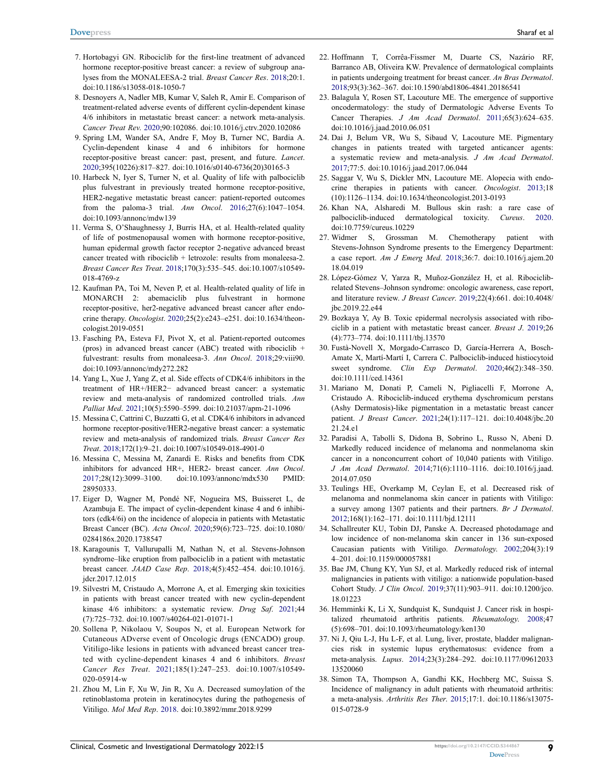- 7. Hortobagyi GN. Ribociclib for the first-line treatment of advanced hormone receptor-positive breast cancer: a review of subgroup analyses from the MONALEESA-2 trial. *Breast Cancer Res*. 2018;20:1. doi:10.1186/s13058-018-1050-7
- 8. Desnoyers A, Nadler MB, Kumar V, Saleh R, Amir E. Comparison of treatment-related adverse events of different cyclin-dependent kinase 4/6 inhibitors in metastatic breast cancer: a network meta-analysis. *Cancer Treat Rev*. 2020;90:102086. doi:10.1016/j.ctrv.2020.102086
- 9. Spring LM, Wander SA, Andre F, Moy B, Turner NC, Bardia A. Cyclin-dependent kinase 4 and 6 inhibitors for hormone receptor-positive breast cancer: past, present, and future. *Lancet*. 2020;395(10226):817–827. doi:10.1016/s0140-6736(20)30165-3
- 10. Harbeck N, Iyer S, Turner N, et al. Quality of life with palbociclib plus fulvestrant in previously treated hormone receptor-positive, HER2-negative metastatic breast cancer: patient-reported outcomes from the paloma-3 trial. *Ann Oncol*. 2016;27(6):1047–1054. doi:10.1093/annonc/mdw139
- 11. Verma S, O'Shaughnessy J, Burris HA, et al. Health-related quality of life of postmenopausal women with hormone receptor-positive, human epidermal growth factor receptor 2-negative advanced breast cancer treated with ribociclib + letrozole: results from monaleesa-2. *Breast Cancer Res Treat*. 2018;170(3):535–545. doi:10.1007/s10549- 018-4769-z
- 12. Kaufman PA, Toi M, Neven P, et al. Health-related quality of life in MONARCH 2: abemaciclib plus fulvestrant in hormone receptor-positive, her2-negative advanced breast cancer after endocrine therapy. *Oncologist*. 2020;25(2):e243–e251. doi:10.1634/theoncologist.2019-0551
- 13. Fasching PA, Esteva FJ, Pivot X, et al. Patient-reported outcomes (pros) in advanced breast cancer (ABC) treated with ribociclib + fulvestrant: results from monaleesa-3. *Ann Oncol*. 2018;29:viii90. doi:10.1093/annonc/mdy272.282
- 14. Yang L, Xue J, Yang Z, et al. Side effects of CDK4/6 inhibitors in the treatment of HR+/HER2− advanced breast cancer: a systematic review and meta-analysis of randomized controlled trials. *Ann Palliat Med*. 2021;10(5):5590–5599. doi:10.21037/apm-21-1096
- 15. Messina C, Cattrini C, Buzzatti G, et al. CDK4/6 inhibitors in advanced hormone receptor-positive/HER2-negative breast cancer: a systematic review and meta-analysis of randomized trials. *Breast Cancer Res Treat*. 2018;172(1):9–21. doi:10.1007/s10549-018-4901-0
- 16. Messina C, Messina M, Zanardi E. Risks and benefits from CDK inhibitors for advanced HR+, HER2- breast cancer. *Ann Oncol*. 2017;28(12):3099–3100. doi:10.1093/annonc/mdx530 PMID: 28950333.
- 17. Eiger D, Wagner M, Pondé NF, Nogueira MS, Buisseret L, de Azambuja E. The impact of cyclin-dependent kinase 4 and 6 inhibitors (cdk4/6i) on the incidence of alopecia in patients with Metastatic Breast Cancer (BC). *Acta Oncol*. 2020;59(6):723–725. doi:10.1080/ 0284186x.2020.1738547
- 18. Karagounis T, Vallurupalli M, Nathan N, et al. Stevens-Johnson syndrome–like eruption from palbociclib in a patient with metastatic breast cancer. *JAAD Case Rep*. 2018;4(5):452–454. doi:10.1016/j. jdcr.2017.12.015
- 19. Silvestri M, Cristaudo A, Morrone A, et al. Emerging skin toxicities in patients with breast cancer treated with new cyclin-dependent kinase 4/6 inhibitors: a systematic review. *Drug Saf*. 2021;44 (7):725–732. doi:10.1007/s40264-021-01071-1
- 20. Sollena P, Nikolaou V, Soupos N, et al. European Network for Cutaneous ADverse event of Oncologic drugs (ENCADO) group. Vitiligo-like lesions in patients with advanced breast cancer treated with cycline-dependent kinases 4 and 6 inhibitors. *Breast Cancer Res Treat*. 2021;185(1):247–253. doi:10.1007/s10549- 020-05914-w
- 21. Zhou M, Lin F, Xu W, Jin R, Xu A. Decreased sumoylation of the retinoblastoma protein in keratinocytes during the pathogenesis of Vitiligo. *Mol Med Rep*. 2018. doi:10.3892/mmr.2018.9299
- 22. Hoffmann T, Corrêa-Fissmer M, Duarte CS, Nazário RF, Barranco AB, Oliveira KW. Prevalence of dermatological complaints in patients undergoing treatment for breast cancer. *An Bras Dermatol*. 2018;93(3):362–367. doi:10.1590/abd1806-4841.20186541
- 23. Balagula Y, Rosen ST, Lacouture ME. The emergence of supportive oncodermatology: the study of Dermatologic Adverse Events To Cancer Therapies. *J Am Acad Dermatol*. 2011;65(3):624–635. doi:10.1016/j.jaad.2010.06.051
- 24. Dai J, Belum VR, Wu S, Sibaud V, Lacouture ME. Pigmentary changes in patients treated with targeted anticancer agents: a systematic review and meta-analysis. *J Am Acad Dermatol*. 2017;77:5. doi:10.1016/j.jaad.2017.06.044
- 25. Saggar V, Wu S, Dickler MN, Lacouture ME. Alopecia with endocrine therapies in patients with cancer. *Oncologist*. 2013;18 (10):1126–1134. doi:10.1634/theoncologist.2013-0193
- 26. Khan NA, Alsharedi M. Bullous skin rash: a rare case of palbociclib-induced dermatological toxicity. *Cureus*. 2020. doi:10.7759/cureus.10229
- 27. Widmer S, Grossman M. Chemotherapy patient with Stevens-Johnson Syndrome presents to the Emergency Department: a case report. *Am J Emerg Med*. 2018;36:7. doi:10.1016/j.ajem.20 18.04.019
- 28. López-Gómez V, Yarza R, Muñoz-González H, et al. Ribociclibrelated Stevens–Johnson syndrome: oncologic awareness, case report, and literature review. *J Breast Cancer*. 2019;22(4):661. doi:10.4048/ jbc.2019.22.e44
- 29. Bozkaya Y, Ay B. Toxic epidermal necrolysis associated with ribociclib in a patient with metastatic breast cancer. *Breast J*. 2019;26 (4):773–774. doi:10.1111/tbj.13570
- 30. Fustà-Novell X, Morgado-Carrasco D, García-Herrera A, Bosch-Amate X, Martí-Martí I, Carrera C. Palbociclib-induced histiocytoid sweet syndrome. *Clin Exp Dermatol*. 2020;46(2):348–350. doi:10.1111/ced.14361
- 31. Mariano M, Donati P, Cameli N, Pigliacelli F, Morrone A, Cristaudo A. Ribociclib-induced erythema dyschromicum perstans (Ashy Dermatosis)-like pigmentation in a metastatic breast cancer patient. *J Breast Cancer*. 2021;24(1):117–121. doi:10.4048/jbc.20 21.24.e1
- 32. Paradisi A, Tabolli S, Didona B, Sobrino L, Russo N, Abeni D. Markedly reduced incidence of melanoma and nonmelanoma skin cancer in a nonconcurrent cohort of 10,040 patients with Vitiligo. *J Am Acad Dermatol*. 2014;71(6):1110–1116. doi:10.1016/j.jaad. 2014.07.050
- 33. Teulings HE, Overkamp M, Ceylan E, et al. Decreased risk of melanoma and nonmelanoma skin cancer in patients with Vitiligo: a survey among 1307 patients and their partners. *Br J Dermatol*. 2012;168(1):162–171. doi:10.1111/bjd.12111
- 34. Schallreuter KU, Tobin DJ, Panske A. Decreased photodamage and low incidence of non-melanoma skin cancer in 136 sun-exposed Caucasian patients with Vitiligo. *Dermatology*. 2002;204(3):19 4–201. doi:10.1159/000057881
- 35. Bae JM, Chung KY, Yun SJ, et al. Markedly reduced risk of internal malignancies in patients with vitiligo: a nationwide population-based Cohort Study. *J Clin Oncol*. 2019;37(11):903–911. doi:10.1200/jco. 18.01223
- 36. Hemminki K, Li X, Sundquist K, Sundquist J. Cancer risk in hospitalized rheumatoid arthritis patients. *Rheumatology*. 2008;47 (5):698–701. doi:10.1093/rheumatology/ken130
- 37. Ni J, Qiu L-J, Hu L-F, et al. Lung, liver, prostate, bladder malignancies risk in systemic lupus erythematosus: evidence from a meta-analysis. *Lupus*. 2014;23(3):284–292. doi:10.1177/09612033 13520060
- 38. Simon TA, Thompson A, Gandhi KK, Hochberg MC, Suissa S. Incidence of malignancy in adult patients with rheumatoid arthritis: a meta-analysis. *Arthritis Res Ther*. 2015;17:1. doi:10.1186/s13075- 015-0728-9